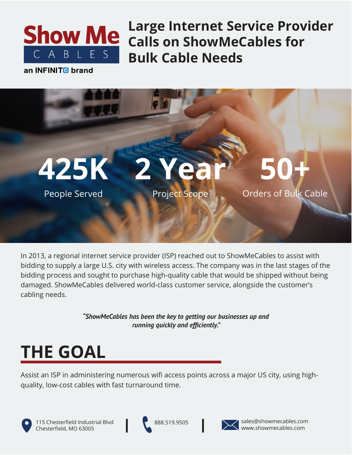

**Large Internet Service Provider Calls on ShowMeCables for Bulk Cable Needs**

an INFINIT<sub>B</sub> brand



In 2013, a regional internet service provider (ISP) reached out to ShowMeCables to assist with bidding to supply a large U.S. city with wireless access. The company was in the last stages of the bidding process and sought to purchase high-quality cable that would be shipped without being damaged. ShowMeCables delivered world-class customer service, alongside the customer's cabling needs.

> *"ShowMeCables has been the key to getting our businesses up and running quickly and efficiently."*

## **THE GOAL**

Assist an ISP in administering numerous wifi access points across a major US city, using highquality, low-cost cables with fast turnaround time.